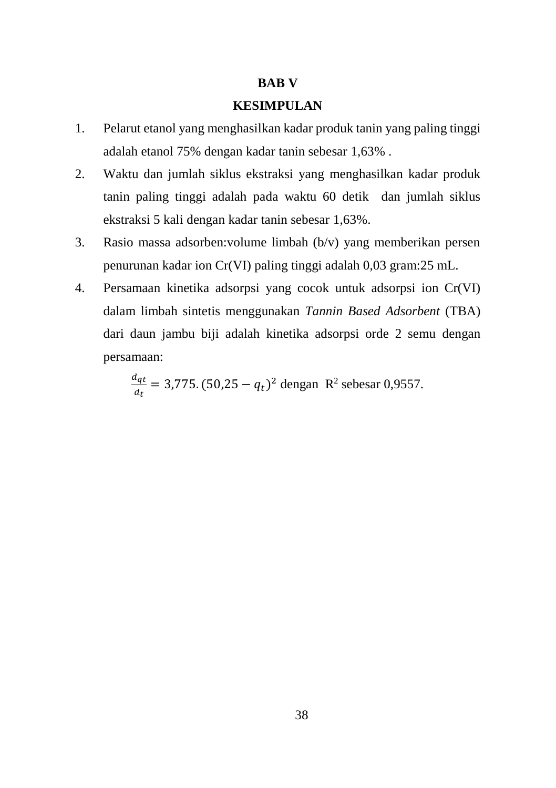## **BAB V**

## **KESIMPULAN**

- 1. Pelarut etanol yang menghasilkan kadar produk tanin yang paling tinggi adalah etanol 75% dengan kadar tanin sebesar 1,63% .
- 2. Waktu dan jumlah siklus ekstraksi yang menghasilkan kadar produk tanin paling tinggi adalah pada waktu 60 detik dan jumlah siklus ekstraksi 5 kali dengan kadar tanin sebesar 1,63%.
- 3. Rasio massa adsorben:volume limbah (b/v) yang memberikan persen penurunan kadar ion Cr(VI) paling tinggi adalah 0,03 gram:25 mL.
- 4. Persamaan kinetika adsorpsi yang cocok untuk adsorpsi ion Cr(VI) dalam limbah sintetis menggunakan *Tannin Based Adsorbent* (TBA) dari daun jambu biji adalah kinetika adsorpsi orde 2 semu dengan persamaan:

 $d_{qt}$  $\frac{u_{qt}}{dt}$  = 3,775. (50,25 –  $q_t$ )<sup>2</sup> dengan R<sup>2</sup> sebesar 0,9557.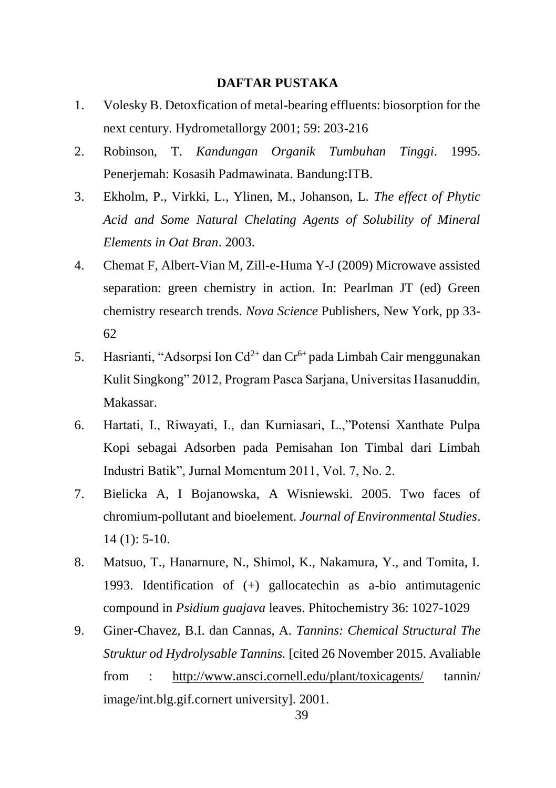## **DAFTAR PUSTAKA**

- 1. Volesky B. Detoxfication of metal-bearing effluents: biosorption for the next century. Hydrometallorgy 2001; 59: 203-216
- 2. Robinson, T. *Kandungan Organik Tumbuhan Tinggi*. 1995. Penerjemah: Kosasih Padmawinata. Bandung:ITB.
- 3. Ekholm, P., Virkki, L., Ylinen, M., Johanson, L. *The effect of Phytic Acid and Some Natural Chelating Agents of Solubility of Mineral Elements in Oat Bran*. 2003.
- 4. Chemat F, Albert-Vian M, Zill-e-Huma Y-J (2009) Microwave assisted separation: green chemistry in action. In: Pearlman JT (ed) Green chemistry research trends. *Nova Science* Publishers, New York, pp 33- 62
- 5. Hasrianti, "Adsorpsi Ion Cd<sup>2+</sup> dan Cr<sup>6+</sup> pada Limbah Cair menggunakan Kulit Singkong" 2012, Program Pasca Sarjana, Universitas Hasanuddin, Makassar.
- 6. Hartati, I., Riwayati, I., dan Kurniasari, L.,"Potensi Xanthate Pulpa Kopi sebagai Adsorben pada Pemisahan Ion Timbal dari Limbah Industri Batik", Jurnal Momentum 2011, Vol. 7, No. 2.
- 7. Bielicka A, I Bojanowska, A Wisniewski. 2005. Two faces of chromium-pollutant and bioelement. *Journal of Environmental Studies*. 14 (1): 5-10.
- 8. Matsuo, T., Hanarnure, N., Shimol, K., Nakamura, Y., and Tomita, I. 1993. Identification of (+) gallocatechin as a-bio antimutagenic compound in *Psidium guajava* leaves. Phitochemistry 36: 1027-1029
- 9. Giner-Chavez, B.I. dan Cannas, A. *Tannins: Chemical Structural The Struktur od Hydrolysable Tannins.* [cited 26 November 2015. Avaliable from : <http://www.ansci.cornell.edu/plant/toxicagents/> tannin/ image/int.blg.gif.cornert university]. 2001.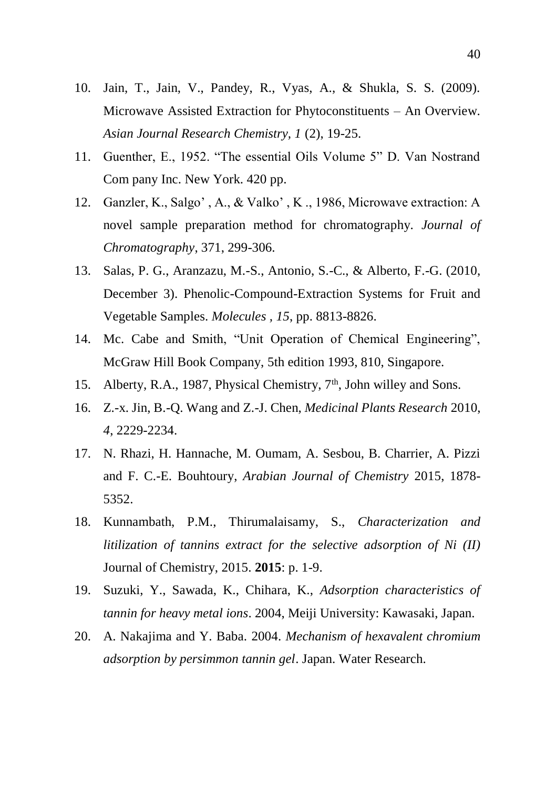- 10. Jain, T., Jain, V., Pandey, R., Vyas, A., & Shukla, S. S. (2009). Microwave Assisted Extraction for Phytoconstituents – An Overview. *Asian Journal Research Chemistry, 1* (2), 19-25.
- 11. Guenther, E., 1952. "The essential Oils Volume 5" D. Van Nostrand Com pany Inc. New York. 420 pp.
- 12. Ganzler, K., Salgo' , A., & Valko' , K ., 1986, Microwave extraction: A novel sample preparation method for chromatography. *Journal of Chromatography*, 371, 299-306.
- 13. Salas, P. G., Aranzazu, M.-S., Antonio, S.-C., & Alberto, F.-G. (2010, December 3). Phenolic-Compound-Extraction Systems for Fruit and Vegetable Samples. *Molecules , 15*, pp. 8813-8826.
- 14. Mc. Cabe and Smith, "Unit Operation of Chemical Engineering", McGraw Hill Book Company, 5th edition 1993, 810, Singapore.
- 15. Alberty, R.A., 1987, Physical Chemistry, 7<sup>th</sup>, John willey and Sons.
- 16. Z.-x. Jin, B.-Q. Wang and Z.-J. Chen, *Medicinal Plants Research* 2010, *4*, 2229-2234.
- 17. N. Rhazi, H. Hannache, M. Oumam, A. Sesbou, B. Charrier, A. Pizzi and F. C.-E. Bouhtoury, *Arabian Journal of Chemistry* 2015, 1878- 5352.
- 18. Kunnambath, P.M., Thirumalaisamy, S., *Characterization and litilization of tannins extract for the selective adsorption of Ni (II)*  Journal of Chemistry, 2015. **2015**: p. 1-9.
- 19. Suzuki, Y., Sawada, K., Chihara, K., *Adsorption characteristics of tannin for heavy metal ions*. 2004, Meiji University: Kawasaki, Japan.
- 20. A. Nakajima and Y. Baba. 2004. *Mechanism of hexavalent chromium adsorption by persimmon tannin gel*. Japan. Water Research.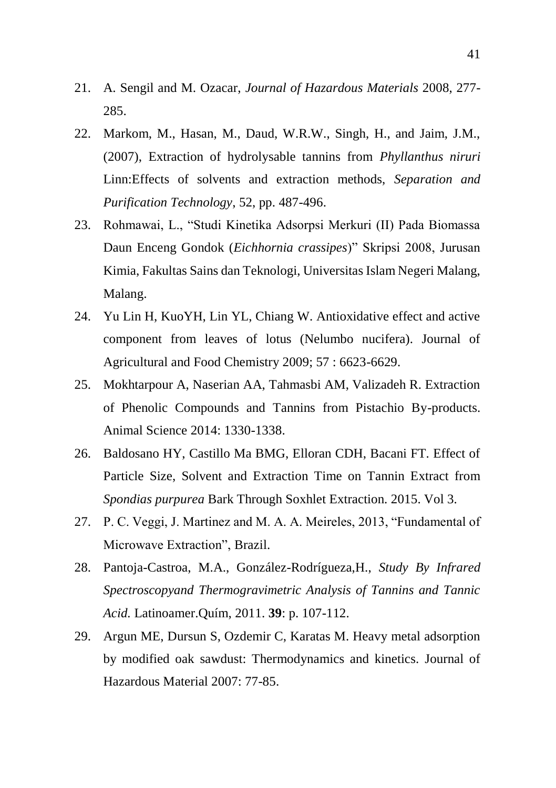- 21. A. Sengil and M. Ozacar, *Journal of Hazardous Materials* 2008, 277- 285.
- 22. Markom, M., Hasan, M., Daud, W.R.W., Singh, H., and Jaim, J.M., (2007), Extraction of hydrolysable tannins from *Phyllanthus niruri*  Linn:Effects of solvents and extraction methods, *Separation and Purification Technology*, 52, pp. 487-496.
- 23. Rohmawai, L., "Studi Kinetika Adsorpsi Merkuri (II) Pada Biomassa Daun Enceng Gondok (*Eichhornia crassipes*)" Skripsi 2008, Jurusan Kimia, Fakultas Sains dan Teknologi, Universitas Islam Negeri Malang, Malang.
- 24. Yu Lin H, KuoYH, Lin YL, Chiang W. Antioxidative effect and active component from leaves of lotus (Nelumbo nucifera). Journal of Agricultural and Food Chemistry 2009; 57 : 6623-6629.
- 25. Mokhtarpour A, Naserian AA, Tahmasbi AM, Valizadeh R. Extraction of Phenolic Compounds and Tannins from Pistachio By-products. Animal Science 2014: 1330-1338.
- 26. Baldosano HY, Castillo Ma BMG, Elloran CDH, Bacani FT. Effect of Particle Size, Solvent and Extraction Time on Tannin Extract from *Spondias purpurea* Bark Through Soxhlet Extraction. 2015. Vol 3.
- 27. P. C. Veggi, J. Martinez and M. A. A. Meireles, 2013, "Fundamental of Microwave Extraction", Brazil.
- 28. Pantoja-Castroa, M.A., González-Rodrígueza,H., *Study By Infrared Spectroscopyand Thermogravimetric Analysis of Tannins and Tannic Acid.* Latinoamer.Quím, 2011. **39**: p. 107-112.
- 29. Argun ME, Dursun S, Ozdemir C, Karatas M. Heavy metal adsorption by modified oak sawdust: Thermodynamics and kinetics. Journal of Hazardous Material 2007: 77-85.